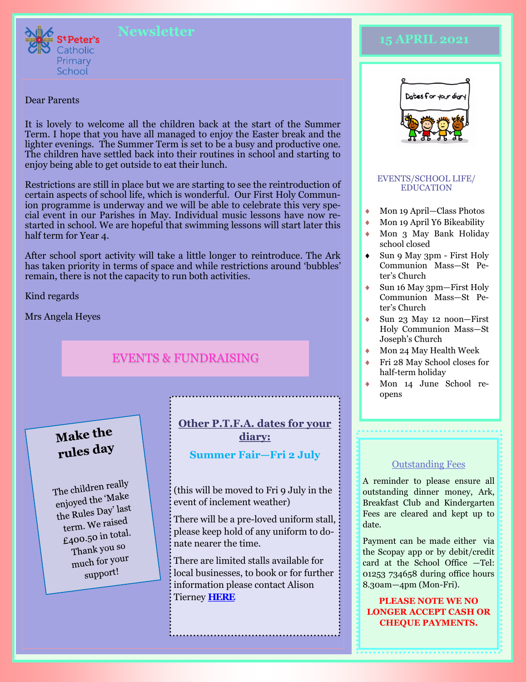

#### Dear Parents

It is lovely to welcome all the children back at the start of the Summer Term. I hope that you have all managed to enjoy the Easter break and the lighter evenings. The Summer Term is set to be a busy and productive one. The children have settled back into their routines in school and starting to enjoy being able to get outside to eat their lunch.

Restrictions are still in place but we are starting to see the reintroduction of certain aspects of school life, which is wonderful. Our First Holy Communion programme is underway and we will be able to celebrate this very special event in our Parishes in May. Individual music lessons have now restarted in school. We are hopeful that swimming lessons will start later this half term for Year 4.

After school sport activity will take a little longer to reintroduce. The Ark has taken priority in terms of space and while restrictions around 'bubbles' remain, there is not the capacity to run both activities.

Kind regards

Mrs Angela Heyes

# EVENTS & FUNDRAISING

# Make the rules day

The children really the children reserved the 'Make enjoyed the T<br>the Rules Day' last term. We raised term. We refer total. Thank you so much for your support!

### **Other P.T.F.A. dates for your**

**diary:**

### **Summer Fair—Fri 2 July**

(this will be moved to Fri 9 July in the event of inclement weather)

There will be a pre-loved uniform stall, please keep hold of any uniform to donate nearer the time.

There are limited stalls available for local businesses, to book or for further information please contact Alison Tierney **[HERE](mailto:alisont44@googlemail.com)**

# **15 APRIL 2021**



#### EVENTS/SCHOOL LIFE/ EDUCATION

- Mon 19 April—Class Photos
- Mon 19 April Y6 Bikeability
- Mon 3 May Bank Holiday school closed
- Sun 9 May 3pm First Holy Communion Mass—St Peter's Church
- Sun 16 May 3pm—First Holy Communion Mass—St Peter's Church
- Sun 23 May 12 noon—First Holy Communion Mass—St Joseph's Church
- Mon 24 May Health Week
- Fri 28 May School closes for half-term holiday
- Mon 14 June School reopens

#### Outstanding Fees

A reminder to please ensure all outstanding dinner money, Ark, Breakfast Club and Kindergarten Fees are cleared and kept up to date.

Payment can be made either via the Scopay app or by debit/credit card at the School Office —Tel: 01253 734658 during office hours 8.30am—4pm (Mon-Fri).

**PLEASE NOTE WE NO LONGER ACCEPT CASH OR CHEQUE PAYMENTS.**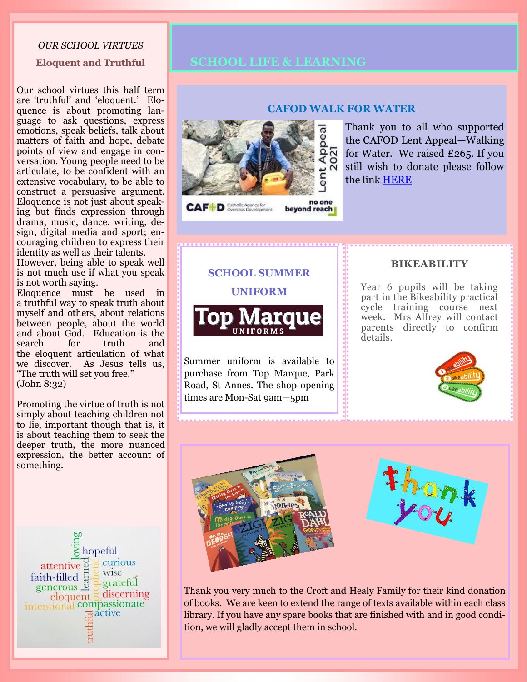#### *OUR SCHOOL VIRTUES*

#### **Eloquent and Truthful**

Our school virtues this half term are 'truthful' and 'eloquent.' Eloquence is about promoting language to ask questions, express emotions, speak beliefs, talk about matters of faith and hope, debate points of view and engage in conversation. Young people need to be articulate, to be confident with an extensive vocabulary, to be able to construct a persuasive argument. Eloquence is not just about speaking but finds expression through drama, music, dance, writing, design, digital media and sport; encouraging children to express their identity as well as their talents.

However, being able to speak well is not much use if what you speak is not worth saying.

Eloquence must be used in a truthful way to speak truth about myself and others, about relations between people, about the world and about God. Education is the search for truth and the eloquent articulation of what we discover. As Jesus tells us, "The truth will set you free." (John 8:32)

Promoting the virtue of truth is not simply about teaching children not to lie, important though that is, it is about teaching them to seek the deeper truth, the more nuanced expression, the better account of something.

 $\overline{\xi}$  hopeful curious attentive  $\Phi$ wise faith-filled  $\frac{1}{8}$ grateful  $\frac{\text{generous } = \text{eig}}{\text{in|equent } = \text{discerning}}$  $\exists$  active

## **SCHOOL LIFE & LEARNING**



#### **CAFOD WALK FOR WATER**

Thank you to all who supported the CAFOD Lent Appeal—Walking for Water. We raised £265. If you still wish to donate please follow the link [HERE](https://www.justgiving.com/fundraising/stpetersschoollytham?utm_source=Sharethis&utm_medium=fundraising&utm_content=stpetersschoollytham&utm_campaign=pfp-email&utm_term=2d5429639a434fd3b054504e366cd4df)

**SCHOOL SUMMER UNIFORM**



Summer uniform is available to purchase from Top Marque, Park Road, St Annes. The shop opening times are Mon-Sat 9am—5pm

#### **BIKEABILITY**

Year 6 pupils will be taking part in the Bikeability practical cycle training course next week. Mrs Alfrey will contact parents directly to confirm details.





Thank you very much to the Croft and Healy Family for their kind donation of books. We are keen to extend the range of texts available within each class library. If you have any spare books that are finished with and in good condition, we will gladly accept them in school.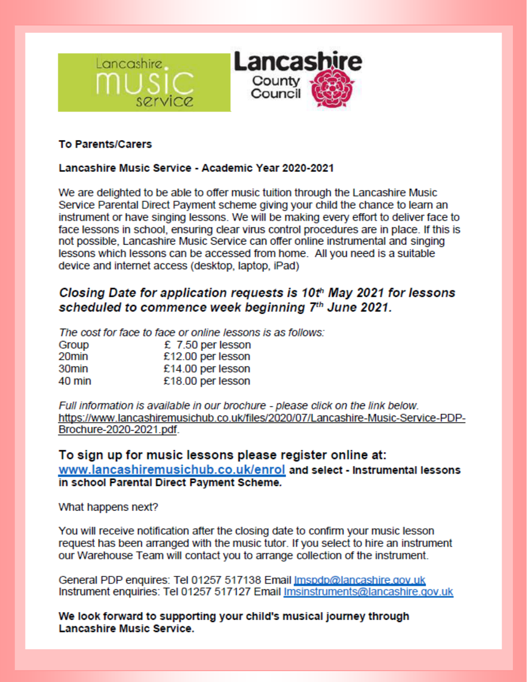



### **To Parents/Carers**

### Lancashire Music Service - Academic Year 2020-2021

We are delighted to be able to offer music tuition through the Lancashire Music Service Parental Direct Payment scheme giving your child the chance to learn an instrument or have singing lessons. We will be making every effort to deliver face to face lessons in school, ensuring clear virus control procedures are in place. If this is not possible, Lancashire Music Service can offer online instrumental and singing lessons which lessons can be accessed from home. All you need is a suitable device and internet access (desktop, laptop, iPad)

# Closing Date for application requests is 10th May 2021 for lessons scheduled to commence week beginning 7th June 2021.

The cost for face to face or online lessons is as follows:

| Group             | £ $7.50$ per lesson |
|-------------------|---------------------|
| 20min             | £12.00 per lesson   |
| 30 <sub>min</sub> | £14.00 per lesson   |
| 40 min            | £18.00 per lesson   |

Full information is available in our brochure - please click on the link below. https://www.lancashiremusichub.co.uk/files/2020/07/Lancashire-Music-Service-PDP-Brochure-2020-2021.pdf.

### To sign up for music lessons please register online at: www.lancashiremusichub.co.uk/enrol and select - Instrumental lessons in school Parental Direct Payment Scheme.

What happens next?

You will receive notification after the closing date to confirm your music lesson request has been arranged with the music tutor. If you select to hire an instrument our Warehouse Team will contact you to arrange collection of the instrument.

General PDP enquires: Tel 01257 517138 Email Imspdp@lancashire.gov.uk Instrument enquiries: Tel 01257 517127 Email Imsinstruments@lancashire.gov.uk

We look forward to supporting your child's musical journey through Lancashire Music Service.